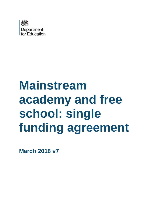

# **Mainstream academy and free school: single funding agreement**

**March 2018 v7**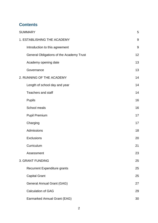# **Contents**

| <b>SUMMARY</b>                           | 5  |
|------------------------------------------|----|
| 1. ESTABLISHING THE ACADEMY              | 9  |
| Introduction to this agreement           | 9  |
| General Obligations of the Academy Trust | 12 |
| Academy opening date                     | 13 |
| Governance                               | 13 |
| 2. RUNNING OF THE ACADEMY                | 14 |
| Length of school day and year            | 14 |
| <b>Teachers and staff</b>                | 14 |
| <b>Pupils</b>                            | 16 |
| School meals                             | 16 |
| <b>Pupil Premium</b>                     | 17 |
| Charging                                 | 17 |
| Admissions                               | 18 |
| Exclusions                               | 20 |
| Curriculum                               | 21 |
| Assessment                               | 23 |
| <b>3. GRANT FUNDING</b>                  | 25 |
| <b>Recurrent Expenditure grants</b>      | 25 |
| <b>Capital Grant</b>                     | 25 |
| General Annual Grant (GAG)               | 27 |
| <b>Calculation of GAG</b>                | 29 |
| Earmarked Annual Grant (EAG)             | 30 |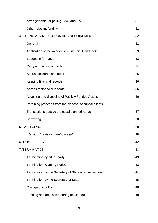| Arrangements for paying GAG and EAG                    | 31 |
|--------------------------------------------------------|----|
| Other relevant funding                                 | 32 |
| 4. FINANCIAL AND ACCOUNTING REQUIREMENTS               | 32 |
| General                                                | 32 |
| Application of the Academies Financial Handbook        | 33 |
| <b>Budgeting for funds</b>                             | 33 |
| Carrying forward of funds                              | 34 |
| Annual accounts and audit                              | 35 |
| Keeping financial records                              | 36 |
| Access to financial records                            | 36 |
| Acquiring and disposing of Publicly Funded Assets      | 36 |
| Retaining proceeds from the disposal of capital assets | 37 |
| Transactions outside the usual planned range           | 37 |
| <b>Borrowing</b>                                       | 38 |
| 5. LAND CLAUSES                                        | 38 |
| [Version 1: existing freehold site]                    | 38 |
| <b>6. COMPLAINTS</b>                                   | 42 |
| 7. TERMINATION                                         | 43 |
| Termination by either party                            | 43 |
| <b>Termination Warning Notice</b>                      | 43 |
| Termination by the Secretary of State after inspection | 44 |
| Termination by the Secretary of State                  | 45 |
| <b>Change of Control</b>                               | 48 |
| Funding and admission during notice period             | 48 |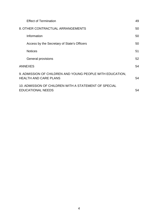| <b>Effect of Termination</b>                                                              | 49 |
|-------------------------------------------------------------------------------------------|----|
| 8. OTHER CONTRACTUAL ARRANGEMENTS                                                         | 50 |
| Information                                                                               | 50 |
| Access by the Secretary of State's Officers                                               | 50 |
| <b>Notices</b>                                                                            | 51 |
| General provisions                                                                        | 52 |
| <b>ANNEXES</b>                                                                            | 54 |
| 9. ADMISSION OF CHILDREN AND YOUNG PEOPLE WITH EDUCATION,<br><b>HEALTH AND CARE PLANS</b> | 54 |
| 10. ADMISSION OF CHILDREN WITH A STATEMENT OF SPECIAL<br><b>EDUCATIONAL NEEDS</b>         | 54 |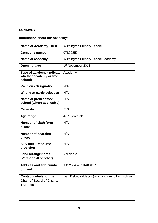# <span id="page-4-0"></span>**SUMMARY**

# **Information about the Academy:**

| <b>Name of Academy Trust</b>                                                   | <b>Wilmington Primary School</b>             |
|--------------------------------------------------------------------------------|----------------------------------------------|
| <b>Company number</b>                                                          | 07800252                                     |
| Name of academy                                                                | <b>Wilmington Primary School Academy</b>     |
| <b>Opening date</b>                                                            | 1 <sup>st</sup> November 2011                |
| Type of academy (indicate<br>whether academy or free<br>school)                | Academy                                      |
| <b>Religious designation</b>                                                   | N/A                                          |
| Wholly or partly selective                                                     | N/A                                          |
| Name of predecessor<br>school (where applicable)                               | N/A                                          |
| <b>Capacity</b>                                                                | 210                                          |
| Age range                                                                      | 4-11 years old                               |
| Number of sixth form<br>places                                                 | N/A                                          |
| <b>Number of boarding</b><br>places                                            | N/A                                          |
| <b>SEN unit / Resource</b><br>provision                                        | N/A                                          |
| <b>Land arrangements</b><br>(Version 1-8 or other)                             | Version 2                                    |
| <b>Address and title number</b><br>of Land                                     | K452654 and K400197                          |
| Contact details for the<br><b>Chair of Board of Charity</b><br><b>Trustees</b> | Dan Debuc - ddebuc@wilmington-cp.kent.sch.uk |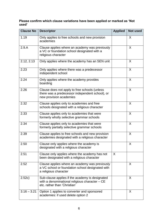# **Please confirm which clause variations have been applied or marked as 'Not used'**

| <b>Clause No</b> | <b>Descriptor</b>                                                                                                                  | <b>Applied</b> | <b>Not used</b> |
|------------------|------------------------------------------------------------------------------------------------------------------------------------|----------------|-----------------|
| 1.19             | Only applies to free schools and new provision<br>academies                                                                        |                | X               |
| 2.9.A            | Clause applies where an academy was previously<br>a VC or foundation school designated with a<br>religious character               |                | X               |
| 2.12, 2.13       | Only applies where the academy has an SEN unit                                                                                     |                | X               |
| 2.23             | Only applies where there was a predecessor<br>independent school                                                                   |                | X               |
| 2.24             | Only applies where the academy provides<br>boarding                                                                                |                | $\sf X$         |
| 2.26             | Clause does not apply to free schools (unless<br>there was a predecessor independent school), or<br>new provision academies        |                | $\chi$          |
| 2.32             | Clause applies only to academies and free<br>schools designated with a religious character                                         |                | X               |
| 2.33             | Clause applies only to academies that were<br>formerly wholly selective grammar schools                                            |                | X               |
| 2.34             | Clause applies only to academies that were<br>formerly partially selective grammar schools                                         |                | $\sf X$         |
| 2.39             | Clause applies to free schools and new provision<br>academies designated with a religious character                                |                | X               |
| 2.50             | Clause only applies where the academy is<br>designated with a religious character                                                  |                | X               |
| 2.51             | Clause only applies where the academy has not<br>been designated with a religious character                                        | X              |                 |
| 2.52             | Clause applies where an academy was previously<br>a VC school or foundation school designated with<br>a religious character        |                | X               |
| 2.52c)           | Sub-clause applies if the academy is designated<br>with a denominational religious character $-CE$<br>etc. rather than 'Christian' |                | $\sf X$         |
| $3.16 - 3.21$    | Option 1 applies to converter and sponsored<br>academies: if used delete option 2                                                  |                | X               |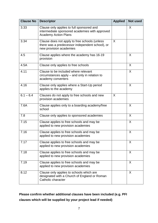| <b>Clause No</b> | <b>Descriptor</b>                                                                                                           | <b>Applied</b> | <b>Not used</b> |
|------------------|-----------------------------------------------------------------------------------------------------------------------------|----------------|-----------------|
| 3.33             | Clause only applies to full sponsored and<br>intermediate sponsored academies with approved<br><b>Academy Action Plans</b>  |                | X               |
| 3.34             | Clause does not apply to free schools (unless<br>there was a predecessor independent school), or<br>new provision academies | X              |                 |
| 4.5              | Clause applies where the academy has 16-19<br>provision                                                                     |                | $\sf X$         |
| 4.5A             | Clause only applies to free schools                                                                                         |                | X               |
| 4.11             | Clause to be included where relevant<br>circumstances apply – and only in relation to<br>academy converters                 |                | X               |
| 4.16             | Clause only applies where a Start-Up period<br>applies to the academy                                                       |                | $\sf X$         |
| $6.1 - 6.4$      | Clauses do not apply to free schools and new<br>provision academies                                                         | X              |                 |
| 7.6A             | Clause applies only to a boarding academy/free<br>school                                                                    |                | X               |
| 7.8              | Clause only applies to sponsored academies                                                                                  |                | X               |
| 7.15             | Clause applies to free schools and may be<br>applied to new provision academies                                             |                | $\sf X$         |
| 7.16             | Clause applies to free schools and may be<br>applied to new provision academies                                             |                | X               |
| 7.17             | Clause applies to free schools and may be<br>applied to new provision academies                                             |                | $\sf X$         |
| 7.18             | Clause applies to free schools and may be<br>applied to new provision academies                                             |                | X               |
| 7.19             | Clause applies to free schools and may be<br>applied to new provision academies                                             |                | X               |
| 8.12             | Clause only applies to schools which are<br>designated with a Church of England or Roman<br>Catholic character              |                | $\sf X$         |

**Please confirm whether additional clauses have been included (e.g. PFI clauses which will be supplied by your project lead if needed)**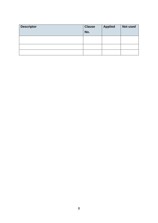| <b>Descriptor</b> | <b>Clause</b><br>No. | <b>Applied</b> | Not used |
|-------------------|----------------------|----------------|----------|
|                   |                      |                |          |
|                   |                      |                |          |
|                   |                      |                |          |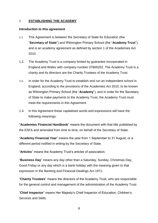#### <span id="page-8-0"></span>1 **ESTABLISHING THE ACADEMY**

#### <span id="page-8-1"></span>**Introduction to this agreement**

- 1.1. This Agreement is between the Secretary of State for Education (the "**Secretary of State**") and Wilmington Primary School (the "**Academy Trust**"), and is an academy agreement as defined by section 1 of the Academies Act 2010.
- 1.2. The Academy Trust is a company limited by guarantee incorporated in England and Wales with company number 07800252. The Academy Trust is a charity and its directors are the Charity Trustees of the Academy Trust.
- 1.3. In order for the Academy Trust to establish and run an independent school in England, according to the provisions of the Academies Act 2010, to be known as Wilmington Primary School (the "**Academy**"), and in order for the Secretary of State to make payments to the Academy Trust, the Academy Trust must meet the requirements in this Agreement.
- 1.4. In this Agreement these capitalised words and expressions will have the following meanings:

"**Academies Financial Handbook**" means the document with that title published by the ESFA and amended from time to time, on behalf of the Secretary of State.

"**Academy Financial Year**" means the year from 1 September to 31 August, or a different period notified in writing by the Secretary of State.

"**Articles**" means the Academy Trust's articles of association.

"**Business Day**" means any day other than a Saturday, Sunday, Christmas Day, Good Friday or any day which is a bank holiday with the meaning given to that expression in the Banking and Financial Dealings Act 1971.

"**Charity Trustees**" means the directors of the Academy Trust, who are responsible for the general control and management of the administration of the Academy Trust.

"**Chief Inspector**" means Her Majesty's Chief Inspector of Education, Children's Services and Skills.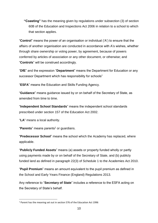**"Coasting"** has the meaning given by regulations under subsection (3) of section 60B of the Education and Inspections Act 2006 in relation to a school to which that section applies.

"**Control**" means the power of an organisation or individual ('A') to ensure that the affairs of another organisation are conducted in accordance with A's wishes, whether through share ownership or voting power, by agreement, because of powers conferred by articles of association or any other document, or otherwise; and "**Controls**" will be construed accordingly.

"**DfE**" and the expression "**Department**" means the Department for Education or any successor Department which has responsibility for schools"

"**ESFA**" means the Education and Skills Funding Agency.

"**Guidance**" means guidance issued by or on behalf of the Secretary of State, as amended from time to time.

"**Independent School Standards**" means the independent school standards prescribed under section 157 of the Education Act 2002.

"**LA**" means a local authority.

**.** 

"**Parents**" means parents<sup>1</sup> or guardians.

"**Predecessor School**" means the school which the Academy has replaced, where applicable.

"**Publicly Funded Assets**" means (a) assets or property funded wholly or partly using payments made by or on behalf of the Secretary of State, and (b) publicly funded land as defined in paragraph 22(3) of Schedule 1 to the Academies Act 2010.

"**Pupil Premium**" means an amount equivalent to the pupil premium as defined in the School and Early Years Finance (England) Regulations 2013.

Any reference to "**Secretary of State**" includes a reference to the ESFA acting on the Secretary of State's behalf.

<sup>1</sup> Parent has the meaning set out in section 576 of the Education Act 1996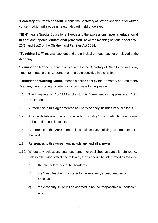"**Secretary of State's consent**" means the Secretary of State's specific, prior written consent, which will not be unreasonably withheld or delayed.

"**SEN**" means Special Educational Needs and the expressions "**special educational needs**" and "**special educational provision**" have the meaning set out in sections 20(1) and 21(2) of the Children and Families Act 2014.

**"Teaching Staff"** means teachers and the principal or head teacher employed at the Academy.

"**Termination Notice**" means a notice sent by the Secretary of State to the Academy Trust, terminating this Agreement on the date specified in the notice.

"**Termination Warning Notice**" means a notice sent by the Secretary of State to the Academy Trust, stating his intention to terminate this Agreement.

- 1.5. The Interpretation Act 1978 applies to this Agreement as it applies to an Act of Parliament.
- 1.6. A reference in this Agreement to any party or body includes its successors.
- 1.7. Any words following the terms 'include', 'including' or 'in particular' are by way of illustration, not limitation.
- 1.8. A reference in this Agreement to land includes any buildings or structures on the land.
- 1.9. References to this Agreement include any and all annexes.
- 1.10. Where any legislation, legal requirement or published guidance is referred to, unless otherwise stated, the following terms should be interpreted as follows:
	- a) the "school" refers to the Academy;
	- b) the "head teacher" may refer to the Academy's head teacher or principal;
	- c) the Academy Trust will be deemed to be the "responsible authorities"; and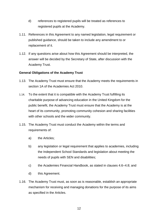- d) references to registered pupils will be treated as references to registered pupils at the Academy.
- 1.11. References in this Agreement to any named legislation, legal requirement or published guidance, should be taken to include any amendment to or replacement of it.
- 1.12. If any questions arise about how this Agreement should be interpreted, the answer will be decided by the Secretary of State, after discussion with the Academy Trust.

#### <span id="page-11-0"></span>**General Obligations of the Academy Trust**

- 1.13. The Academy Trust must ensure that the Academy meets the requirements in section 1A of the Academies Act 2010.
- 1.14. To the extent that it is compatible with the Academy Trust fulfilling its charitable purpose of advancing education in the United Kingdom for the public benefit, the Academy Trust must ensure that the Academy is at the heart of its community, promoting community cohesion and sharing facilities with other schools and the wider community.
- 1.15. The Academy Trust must conduct the Academy within the terms and requirements of:
	- a) the Articles;
	- b) any legislation or legal requirement that applies to academies, including the Independent School Standards and legislation about meeting the needs of pupils with SEN and disabilities;
	- c) the Academies Financial Handbook, as stated in clauses 4.6–4.8; and
	- d) this Agreement.
- 1.16. The Academy Trust must, as soon as is reasonable, establish an appropriate mechanism for receiving and managing donations for the purpose of its aims as specified in the Articles.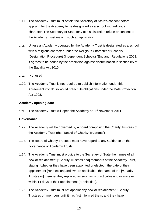- 1.17. The Academy Trust must obtain the Secretary of State's consent before applying for the Academy to be designated as a school with religious character. The Secretary of State may at his discretion refuse or consent to the Academy Trust making such an application.
- 1.18. Unless an Academy operated by the Academy Trust is designated as a school with a religious character under the Religious Character of Schools (Designation Procedure) (Independent Schools) (England) Regulations 2003, it agrees to be bound by the prohibition against discrimination in section 85 of the Equality Act 2010.
- 1.19. Not used
- 1.20. The Academy Trust is not required to publish information under this Agreement if to do so would breach its obligations under the Data Protection Act 1998.

#### <span id="page-12-0"></span>**Academy opening date**

1.21. The Academy Trust will open the Academy on 1<sup>st</sup> November 2011

#### <span id="page-12-1"></span>**Governance**

- 1.22. The Academy will be governed by a board comprising the Charity Trustees of the Academy Trust (the "**Board of Charity Trustees**").
- 1.23. The Board of Charity Trustees must have regard to any Guidance on the governance of Academy Trusts.
- 1.24. The Academy Trust must provide to the Secretary of State the names of all new or replacement [\*Charity Trustees and] members of the Academy Trust, stating [\*whether they have been appointed or elected,] the date of their appointment [\*or election] and, where applicable, the name of the [\*Charity Trustee or] member they replaced as soon as is practicable and in any event within 14 days of their appointment [\*or election].
- 1.25. The Academy Trust must not appoint any new or replacement [\*Charity Trustees or] members until it has first informed them, and they have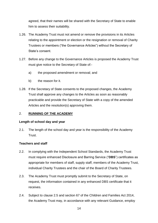agreed, that their names will be shared with the Secretary of State to enable him to assess their suitability.

- 1.26. The Academy Trust must not amend or remove the provisions in its Articles relating to the appointment or election or the resignation or removal of Charity Trustees or members ("the Governance Articles") without the Secretary of State's consent.
- 1.27. Before any change to the Governance Articles is proposed the Academy Trust must give notice to the Secretary of State of:
	- a) the proposed amendment or removal; and
	- b) the reason for it.
- 1.28. If the Secretary of State consents to the proposed changes, the Academy Trust shall approve any changes to the Articles as soon as reasonably practicable and provide the Secretary of State with a copy of the amended Articles and the resolution(s) approving them.

#### <span id="page-13-0"></span>2. **RUNNING OF THE ACADEMY**

#### <span id="page-13-1"></span>**Length of school day and year**

2.1. The length of the school day and year is the responsibility of the Academy Trust.

#### <span id="page-13-2"></span>**Teachers and staff**

- 2.2. In complying with the Independent School Standards, the Academy Trust must require enhanced Disclosure and Barring Service ("**DBS**") certificates as appropriate for members of staff, supply staff, members of the Academy Trust, individual Charity Trustees and the chair of the Board of Charity Trustees.
- 2.3. The Academy Trust must promptly submit to the Secretary of State, on request, the information contained in any enhanced DBS certificate that it receives.
- 2.4. Subject to clause 2.5 and section 67 of the Children and Families Act 2014, the Academy Trust may, in accordance with any relevant Guidance, employ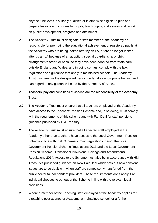anyone it believes is suitably qualified or is otherwise eligible to plan and prepare lessons and courses for pupils, teach pupils, and assess and report on pupils' development, progress and attainment.

- 2.5. The Academy Trust must designate a staff member at the Academy as responsible for promoting the educational achievement of registered pupils at the Academy who are being looked after by an LA, or are no longer looked after by an LA because of an adoption, special guardianship or child arrangements order, or because they have been adopted from 'state care' outside England and Wales, and in doing so must comply with the law, regulations and guidance that apply to maintained schools. The Academy Trust must ensure the designated person undertakes appropriate training and has regard to any guidance issued by the Secretary of State..
- 2.6. Teachers' pay and conditions of service are the responsibility of the Academy Trust.
- 2.7. The Academy Trust must ensure that all teachers employed at the Academy have access to the Teachers' Pension Scheme and, in so doing, must comply with the requirements of this scheme and with Fair Deal for staff pensions guidance published by HM Treasury.
- 2.8. The Academy Trust must ensure that all affected staff employed in the Academy other than teachers have access to the Local Government Pension Scheme in line with that Scheme's main regulations being the Local Government Pension Scheme Regulations 2013 and the Local Government Pension Scheme (Transitional Provisions, Savings and Amendment) Regulations 2014. Access to the Scheme must also be in accordance with HM Treasury's published guidance on New Fair Deal which sets out how pensions issues are to be dealt with when staff are compulsorily transferred from the public sector to independent providers. These requirements don't apply if an individual chooses to opt out of the Scheme in line with the relevant legal provisions.
- 2.9. Where a member of the Teaching Staff employed at the Academy applies for a teaching post at another Academy, a maintained school, or a further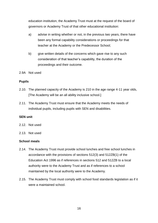education institution, the Academy Trust must at the request of the board of governors or Academy Trust of that other educational institution:

- a) advise in writing whether or not, in the previous two years, there have been any formal capability considerations or proceedings for that teacher at the Academy or the Predecessor School;
- b) give written details of the concerns which gave rise to any such consideration of that teacher's capability, the duration of the proceedings and their outcome.
- 2.9A Not used

#### <span id="page-15-0"></span>**Pupils**

- 2.10. The planned capacity of the Academy is 210 in the age range 4-11 year olds, [The Academy will be an all ability inclusive school.]
- 2.11. The Academy Trust must ensure that the Academy meets the needs of individual pupils, including pupils with SEN and disabilities.

#### **SEN unit**

- 2.12. Not used
- <span id="page-15-1"></span>2.13. Not used

#### **School meals**

- 2.14. The Academy Trust must provide school lunches and free school lunches in accordance with the provisions of sections 512(3) and 512ZB(1) of the Education Act 1996 as if references in sections 512 and 512ZB to a local authority were to the Academy Trust and as if references to a school maintained by the local authority were to the Academy.
- 2.15. The Academy Trust must comply with school food standards legislation as if it were a maintained school.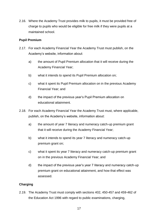2.16. Where the Academy Trust provides milk to pupils, it must be provided free of charge to pupils who would be eligible for free milk if they were pupils at a maintained school.

# <span id="page-16-0"></span>**Pupil Premium**

- 2.17. For each Academy Financial Year the Academy Trust must publish, on the Academy's website, information about:
	- a) the amount of Pupil Premium allocation that it will receive during the Academy Financial Year;
	- b) what it intends to spend its Pupil Premium allocation on;
	- c) what it spent its Pupil Premium allocation on in the previous Academy Financial Year; and
	- d) the impact of the previous year's Pupil Premium allocation on educational attainment.
- 2.18. For each Academy Financial Year the Academy Trust must, where applicable, publish, on the Academy's website, information about:
	- a) the amount of year 7 literacy and numeracy catch-up premium grant that it will receive during the Academy Financial Year;
	- b) what it intends to spend its year 7 literacy and numeracy catch-up premium grant on;
	- c) what it spent its year 7 literacy and numeracy catch-up premium grant on in the previous Academy Financial Year; and
	- d) the impact of the previous year's year 7 literacy and numeracy catch-up premium grant on educational attainment, and how that effect was assessed.

#### <span id="page-16-1"></span>**Charging**

2.19. The Academy Trust must comply with sections 402, 450-457 and 459-462 of the Education Act 1996 with regard to public examinations, charging,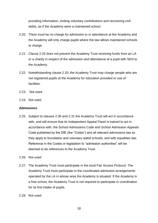providing information, inviting voluntary contributions and recovering civil debts, as if the Academy were a maintained school.

- 2.20. There must be no charge for admission to or attendance at the Academy and the Academy will only charge pupils where the law allows maintained schools to charge.
- 2.21. Clause 2.20 does not prevent the Academy Trust receiving funds from an LA or a charity in respect of the admission and attendance of a pupil with SEN to the Academy.
- 2.22. Notwithstanding clause 2.20, the Academy Trust may charge people who are not registered pupils at the Academy for education provided or use of **facilities**
- 2.23. Not used
- <span id="page-17-0"></span>2.24. Not used

#### **Admissions**

- 2.25. Subject to clauses 2.30 and 2.31 the Academy Trust will act in accordance with, and will ensure that its Independent Appeal Panel is trained to act in accordance with, the School Admissions Code and School Admission Appeals Code published by the DfE (the "Codes") and all relevant admissions law as they apply to foundation and voluntary aided schools, and with equalities law. Reference in the Codes or legislation to "admission authorities" will be deemed to be references to the Academy Trust.
- 2.26. Not used
- 2.27. The Academy Trust must participate in the local Fair Access Protocol. The Academy Trust must participate in the coordinated admission arrangements operated by the LA in whose area the Academy is situated. If the Academy is a free school, the Academy Trust is not required to participate in coordination for its first intake of pupils.
- 2.28. Not used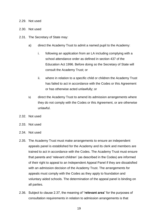#### 2.29. Not used

- 2.30. Not used
- 2.31. The Secretary of State may:
	- a) direct the Academy Trust to admit a named pupil to the Academy:
		- i. following an application from an LA including complying with a school attendance order as defined in section 437 of the Education Act 1996. Before doing so the Secretary of State will consult the Academy Trust; or
		- ii. where in relation to a specific child or children the Academy Trust has failed to act in accordance with the Codes or this Agreement or has otherwise acted unlawfully; or
	- b) direct the Academy Trust to amend its admission arrangements where they do not comply with the Codes or this Agreement, or are otherwise unlawful.
- 2.32. Not used
- 2.33. Not used
- 2.34. Not used
- 2.35. The Academy Trust must make arrangements to ensure an independent appeals panel is established for the Academy and its clerk and members are trained to act in accordance with the Codes. The Academy Trust must ensure that parents and 'relevant children' (as described in the Codes) are informed of their right to appeal to an Independent Appeal Panel if they are dissatisfied with an admission decision of the Academy Trust. The arrangements for appeals must comply with the Codes as they apply to foundation and voluntary aided schools. The determination of the appeal panel is binding on all parties.
- 2.36. Subject to clause 2.37, the meaning of "**relevant area**" for the purposes of consultation requirements in relation to admission arrangements is that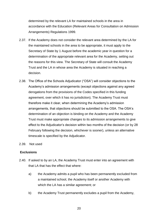determined by the relevant LA for maintained schools in the area in accordance with the Education (Relevant Areas for Consultation on Admission Arrangements) Regulations 1999.

- 2.37. If the Academy does not consider the relevant area determined by the LA for the maintained schools in the area to be appropriate, it must apply to the Secretary of State by 1 August before the academic year in question for a determination of the appropriate relevant area for the Academy, setting out the reasons for this view. The Secretary of State will consult the Academy Trust and the LA in whose area the Academy is situated in reaching a decision.
- 2.38. The Office of the Schools Adjudicator ("OSA") will consider objections to the Academy's admission arrangements (except objections against any agreed derogations from the provisions of the Codes specified in this funding agreement, over which it has no jurisdiction). The Academy Trust must therefore make it clear, when determining the Academy's admission arrangements, that objections should be submitted to the OSA. The OSA's determination of an objection is binding on the Academy and the Academy Trust must make appropriate changes to its admission arrangements to give effect to the Adjudicator's decision within two months of the decision (or by 28 February following the decision, whichever is sooner), unless an alternative timescale is specified by the Adjudicator.
- <span id="page-19-0"></span>2.39. Not used

#### **Exclusions**

- 2.40. If asked to by an LA, the Academy Trust must enter into an agreement with that LA that has the effect that where:
	- a) the Academy admits a pupil who has been permanently excluded from a maintained school, the Academy itself or another Academy with which the LA has a similar agreement; or
	- b) the Academy Trust permanently excludes a pupil from the Academy,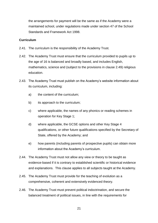the arrangements for payment will be the same as if the Academy were a maintained school, under regulations made under section 47 of the School Standards and Framework Act 1998.

#### <span id="page-20-0"></span>**Curriculum**

- 2.41. The curriculum is the responsibility of the Academy Trust.
- 2.42. The Academy Trust must ensure that the curriculum provided to pupils up to the age of 16 is balanced and broadly based, and includes English, mathematics, science and (subject to the provisions in clause 2.49) religious education.
- 2.43. The Academy Trust must publish on the Academy's website information about its curriculum, including:
	- a) the content of the curriculum;
	- b) its approach to the curriculum;
	- c) where applicable, the names of any phonics or reading schemes in operation for Key Stage 1;
	- d) where applicable, the GCSE options and other Key Stage 4 qualifications, or other future qualifications specified by the Secretary of State, offered by the Academy; and
	- e) how parents (including parents of prospective pupils) can obtain more information about the Academy's curriculum.
- 2.44. The Academy Trust must not allow any view or theory to be taught as evidence-based if it is contrary to established scientific or historical evidence and explanations. This clause applies to all subjects taught at the Academy.
- 2.45. The Academy Trust must provide for the teaching of evolution as a comprehensive, coherent and extensively evidenced theory.
- 2.46. The Academy Trust must prevent political indoctrination, and secure the balanced treatment of political issues, in line with the requirements for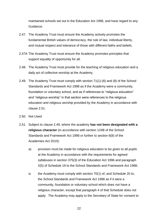maintained schools set out in the Education Act 1996, and have regard to any Guidance.

- 2.47. The Academy Trust must ensure the Academy actively promotes the fundamental British values of democracy, the rule of law, individual liberty, and mutual respect and tolerance of those with different faiths and beliefs.
- 2.47A The Academy Trust must ensure the Academy promotes principles that support equality of opportunity for all.
- 2.48. The Academy Trust must provide for the teaching of religious education and a daily act of collective worship at the Academy.
- 2.49. The Academy Trust must comply with section 71(1)-(6) and (8) of the School Standards and Framework Act 1998 as if the Academy were a community, foundation or voluntary school, and as if references to "religious education" and "religious worship" in that section were references to the religious education and religious worship provided by the Academy in accordance with clause 2.51.
- 2.50. Not Used
- 2.51. Subject to clause 2.49, where the academy **has not been designated with a religious character** (in accordance with section 124B of the School Standards and Framework Act 1998 or further to section 6(8) of the Academies Act 2010):
	- a) provision must be made for religious education to be given to all pupils at the Academy in accordance with the requirements for agreed syllabuses in section 375(3) of the Education Act 1996 and paragraph 2(5) of Schedule 19 to the School Standards and Framework Act 1998;
	- b) the Academy must comply with section 70(1) of, and Schedule 20 to, the School Standards and Framework Act 1998 as if it were a community, foundation or voluntary school which does not have a religious character, except that paragraph 4 of that Schedule does not apply. The Academy may apply to the Secretary of State for consent to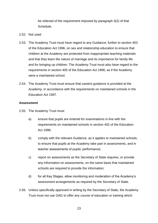be relieved of the requirement imposed by paragraph 3(2) of that Schedule.

#### 2.52. Not used

- 2.53. The Academy Trust must have regard to any Guidance, further to section 403 of the Education Act 1996, on sex and relationship education to ensure that children at the Academy are protected from inappropriate teaching materials and that they learn the nature of marriage and its importance for family life and for bringing up children. The Academy Trust must also have regard to the requirements in section 405 of the Education Act 1996, as if the Academy were a maintained school.
- 2.54. The Academy Trust must ensure that careers guidance is provided at the Academy, in accordance with the requirements on maintained schools in the Education Act 1997.

#### <span id="page-22-0"></span>**Assessment**

- 2.55. The Academy Trust must:
	- a) ensure that pupils are entered for examinations in line with the requirements on maintained schools in section 402 of the Education Act 1996;
	- b) comply with the relevant Guidance, as it applies to maintained schools, to ensure that pupils at the Academy take part in assessments, and in teacher assessments of pupils' performance;
	- c) report on assessments as the Secretary of State requires, or provide any information on assessments, on the same basis that maintained schools are required to provide the information;
	- d) for all Key Stages, allow monitoring and moderation of the Academy's assessment arrangements as required by the Secretary of State.
- 2.56. Unless specifically approved in writing by the Secretary of State, the Academy Trust must not use GAG to offer any course of education or training which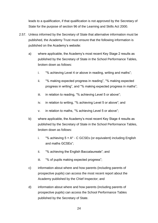leads to a qualification, if that qualification is not approved by the Secretary of State for the purpose of section 96 of the Learning and Skills Act 2000.

- 2.57. Unless informed by the Secretary of State that alternative information must be published, the Academy Trust must ensure that the following information is published on the Academy's website:
	- a) where applicable, the Academy's most recent Key Stage 2 results as published by the Secretary of State in the School Performance Tables, broken down as follows:
		- i. "% achieving Level 4 or above in reading, writing and maths";
		- ii. "% making expected progress in reading", "% making expected progress in writing", and "% making expected progress in maths";
		- iii. in relation to reading, "% achieving Level 5 or above";
		- iv. in relation to writing, "% achieving Level 5 or above"; and
		- v. in relation to maths, "% achieving Level 5 or above";
	- b) where applicable, the Academy's most recent Key Stage 4 results as published by the Secretary of State in the School Performance Tables, broken down as follows:
		- i. "% achieving  $5 + A^* C$  GCSEs (or equivalent) including English and maths GCSEs";
		- ii. "% achieving the English Baccalaureate"; and
		- iii. "% of pupils making expected progress";
	- c) information about where and how parents (including parents of prospective pupils) can access the most recent report about the Academy published by the Chief Inspector; and
	- d) information about where and how parents (including parents of prospective pupils) can access the School Performance Tables published by the Secretary of State.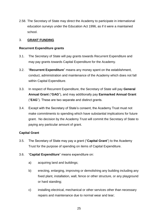2.58. The Secretary of State may direct the Academy to participate in international education surveys under the Education Act 1996, as if it were a maintained school.

#### <span id="page-24-0"></span>3. **GRANT FUNDING**

#### <span id="page-24-1"></span>**Recurrent Expenditure grants**

- 3.1. The Secretary of State will pay grants towards Recurrent Expenditure and may pay grants towards Capital Expenditure for the Academy.
- 3.2. "**Recurrent Expenditure**" means any money spent on the establishment, conduct, administration and maintenance of the Academy which does not fall within Capital Expenditure.
- 3.3. In respect of Recurrent Expenditure, the Secretary of State will pay **General Annual Grant** ("**GAG**"), and may additionally pay **Earmarked Annual Grant** ("**EAG**"). These are two separate and distinct grants.
- 3.4. Except with the Secretary of State's consent, the Academy Trust must not make commitments to spending which have substantial implications for future grant. No decision by the Academy Trust will commit the Secretary of State to paying any particular amount of grant.

# <span id="page-24-2"></span>**Capital Grant**

- 3.5. The Secretary of State may pay a grant ("**Capital Grant**") to the Academy Trust for the purpose of spending on items of Capital Expenditure.
- 3.6. "**Capital Expenditure**" means expenditure on:
	- a) acquiring land and buildings;
	- b) erecting, enlarging, improving or demolishing any building including any fixed plant, installation, wall, fence or other structure, or any playground or hard standing;
	- c) installing electrical, mechanical or other services other than necessary repairs and maintenance due to normal wear and tear;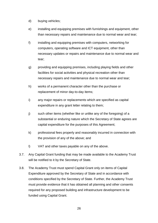- d) buying vehicles;
- e) installing and equipping premises with furnishings and equipment, other than necessary repairs and maintenance due to normal wear and tear;
- f) installing and equipping premises with computers, networking for computers, operating software and ICT equipment, other than necessary updates or repairs and maintenance due to normal wear and tear;
- g) providing and equipping premises, including playing fields and other facilities for social activities and physical recreation other than necessary repairs and maintenance due to normal wear and tear;
- h) works of a permanent character other than the purchase or replacement of minor day-to-day items;
- i) any major repairs or replacements which are specified as capital expenditure in any grant letter relating to them;
- j) such other items (whether like or unlike any of the foregoing) of a substantial or enduring nature which the Secretary of State agrees are capital expenditure for the purposes of this Agreement;
- k) professional fees properly and reasonably incurred in connection with the provision of any of the above; and
- l) VAT and other taxes payable on any of the above.
- 3.7. Any Capital Grant funding that may be made available to the Academy Trust will be notified to it by the Secretary of State.
- 3.8. The Academy Trust must spend Capital Grant only on items of Capital Expenditure approved by the Secretary of State and in accordance with conditions specified by the Secretary of State. Further, the Academy Trust must provide evidence that it has obtained all planning and other consents required for any proposed building and infrastructure development to be funded using Capital Grant.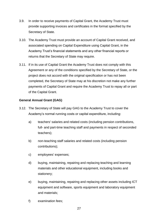- 3.9. In order to receive payments of Capital Grant, the Academy Trust must provide supporting invoices and certificates in the format specified by the Secretary of State.
- 3.10. The Academy Trust must provide an account of Capital Grant received, and associated spending on Capital Expenditure using Capital Grant, in the Academy Trust's financial statements and any other financial reports or returns that the Secretary of State may require.
- 3.11. If in its use of Capital Grant the Academy Trust does not comply with this Agreement or any of the conditions specified by the Secretary of State, or the project does not accord with the original specification or has not been completed, the Secretary of State may at his discretion not make any further payments of Capital Grant and require the Academy Trust to repay all or part of the Capital Grant.

# <span id="page-26-0"></span>**General Annual Grant (GAG)**

- 3.12. The Secretary of State will pay GAG to the Academy Trust to cover the Academy's normal running costs or capital expenditure, including:
	- a) teachers' salaries and related costs (including pension contributions, full- and part-time teaching staff and payments in respect of seconded teachers);
	- b) non-teaching staff salaries and related costs (including pension contributions);
	- c) employees' expenses;
	- d) buying, maintaining, repairing and replacing teaching and learning materials and other educational equipment, including books and stationery;
	- e) buying, maintaining, repairing and replacing other assets including ICT equipment and software, sports equipment and laboratory equipment and materials;
	- f) examination fees;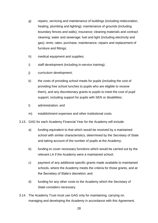- g) repairs, servicing and maintenance of buildings (including redecoration, heating, plumbing and lighting); maintenance of grounds (including boundary fences and walls); insurance; cleaning materials and contract cleaning; water and sewerage; fuel and light (including electricity and gas); rents; rates; purchase, maintenance, repairs and replacement of furniture and fittings;
- h) medical equipment and supplies;
- i) staff development (including in-service training);
- j) curriculum development;
- k) the costs of providing school meals for pupils (including the cost of providing free school lunches to pupils who are eligible to receive them), and any discretionary grants to pupils to meet the cost of pupil support, including support for pupils with SEN or disabilities;
- l) administration; and
- m) establishment expenses and other institutional costs.
- 3.13. GAG for each Academy Financial Year for the Academy will include:
	- a) funding equivalent to that which would be received by a maintained school with similar characteristics, determined by the Secretary of State and taking account of the number of pupils at the Academy;
	- b) funding to cover necessary functions which would be carried out by the relevant LA if the Academy were a maintained school;
	- c) payment of any additional specific grants made available to maintained schools, where the Academy meets the criteria for those grants, and at the Secretary of State's discretion; and
	- d) funding for any other costs to the Academy which the Secretary of State considers necessary.
- 3.14. The Academy Trust must use GAG only for maintaining, carrying on, managing and developing the Academy in accordance with this Agreement,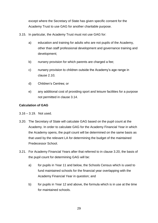except where the Secretary of State has given specific consent for the Academy Trust to use GAG for another charitable purpose.

- 3.15. In particular, the Academy Trust must not use GAG for:
	- a) education and training for adults who are not pupils of the Academy, other than staff professional development and governance training and development;
	- b) nursery provision for which parents are charged a fee;
	- c) nursery provision to children outside the Academy's age range in clause 2.10;
	- d) Children's Centres; or
	- e) any additional cost of providing sport and leisure facilities for a purpose not permitted in clause 3.14.

# <span id="page-28-0"></span>**Calculation of GAG**

- 3.16 3.19. Not used.
- 3.20. The Secretary of State will calculate GAG based on the pupil count at the Academy. In order to calculate GAG for the Academy Financial Year in which the Academy opens, the pupil count will be determined on the same basis as that used by the relevant LA for determining the budget of the maintained Predecessor School.
- 3.21. For Academy Financial Years after that referred to in clause 3.20, the basis of the pupil count for determining GAG will be:
	- a) for pupils in Year 11 and below, the Schools Census which is used to fund maintained schools for the financial year overlapping with the Academy Financial Year in question; and
	- b) for pupils in Year 12 and above, the formula which is in use at the time for maintained schools.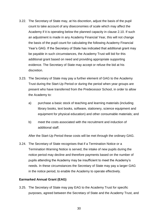- 3.22. The Secretary of State may, at his discretion, adjust the basis of the pupil count to take account of any diseconomies of scale which may affect the Academy if it is operating below the planned capacity in clause 2.10. If such an adjustment is made in any Academy Financial Year, this will not change the basis of the pupil count for calculating the following Academy Financial Year's GAG. If the Secretary of State has indicated that additional grant may be payable in such circumstances, the Academy Trust will bid for this additional grant based on need and providing appropriate supporting evidence. The Secretary of State may accept or refuse the bid at his discretion.
- 3.23. The Secretary of State may pay a further element of GAG to the Academy Trust during the Start-Up Period or during the period when year groups are present who have transferred from the Predecessor School, in order to allow the Academy to:
	- a) purchase a basic stock of teaching and learning materials (including library books, text books, software, stationery, science equipment and equipment for physical education) and other consumable materials; and
	- b) meet the costs associated with the recruitment and induction of additional staff.

After the Start-Up Period these costs will be met through the ordinary GAG.

3.24. The Secretary of State recognises that if a Termination Notice or a Termination Warning Notice is served, the intake of new pupils during the notice period may decline and therefore payments based on the number of pupils attending the Academy may be insufficient to meet the Academy's needs. In these circumstances the Secretary of State may pay a larger GAG in the notice period, to enable the Academy to operate effectively.

#### <span id="page-29-0"></span>**Earmarked Annual Grant (EAG)**

3.25. The Secretary of State may pay EAG to the Academy Trust for specific purposes, agreed between the Secretary of State and the Academy Trust, and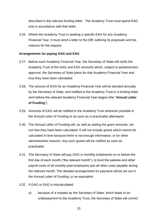described in the relevant funding letter. The Academy Trust must spend EAG only in accordance with that letter.

3.26. Where the Academy Trust is seeking a specific EAG for any Academy Financial Year, it must send a letter to the DfE outlining its proposals and the reasons for the request.

#### <span id="page-30-0"></span>**Arrangements for paying GAG and EAG**

- 3.27. Before each Academy Financial Year, the Secretary of State will notify the Academy Trust of the GAG and EAG amounts which, subject to parliamentary approval, the Secretary of State plans for that Academy Financial Year and how they have been calculated.
- 3.28. The amount of GAG for an Academy Financial Year will be decided annually by the Secretary of State, and notified to the Academy Trust in a funding letter sent before the relevant Academy Financial Year begins (the "**Annual Letter of Funding**").
- 3.29. Amounts of EAG will be notified to the Academy Trust wherever possible in the Annual Letter of Funding or as soon as is practicable afterwards.
- 3.30. The Annual Letter of Funding will, as well as stating the grant amounts, set out how they have been calculated. It will not include grants which cannot be calculated in time because there is not enough information, or for other administrative reasons. Any such grants will be notified as soon as practicable.
- 3.31. The Secretary of State will pay GAG in monthly instalments on or before the first day of each month ("the relevant month"), to fund the salaries and other payroll costs of all monthly paid employees and all other costs payable during the relevant month. The detailed arrangements for payment will be set out in the Annual Letter of Funding, or an equivalent.
- 3.32. If GAG or EAG is miscalculated:
	- a) because of a mistake by the Secretary of State, which leads to an underpayment to the Academy Trust, the Secretary of State will correct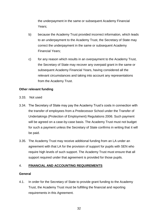the underpayment in the same or subsequent Academy Financial Years;

- b) because the Academy Trust provided incorrect information, which leads to an underpayment to the Academy Trust, the Secretary of State may correct the underpayment in the same or subsequent Academy Financial Years;
- c) for any reason which results in an overpayment to the Academy Trust, the Secretary of State may recover any overpaid grant in the same or subsequent Academy Financial Years, having considered all the relevant circumstances and taking into account any representations from the Academy Trust.

#### <span id="page-31-0"></span>**Other relevant funding**

- 3.33. Not used
- 3.34. The Secretary of State may pay the Academy Trust's costs in connection with the transfer of employees from a Predecessor School under the Transfer of Undertakings (Protection of Employment) Regulations 2006. Such payment will be agreed on a case-by-case basis. The Academy Trust must not budget for such a payment unless the Secretary of State confirms in writing that it will be paid.
- 3.35. The Academy Trust may receive additional funding from an LA under an agreement with that LA for the provision of support for pupils with SEN who require high levels of such support. The Academy Trust must ensure that all support required under that agreement is provided for those pupils.

#### <span id="page-31-1"></span>4. **FINANCIAL AND ACCOUNTING REQUIREMENTS**

#### <span id="page-31-2"></span>**General**

4.1. In order for the Secretary of State to provide grant funding to the Academy Trust, the Academy Trust must be fulfilling the financial and reporting requirements in this Agreement.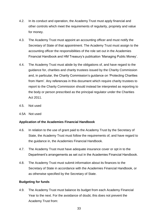- 4.2. In its conduct and operation, the Academy Trust must apply financial and other controls which meet the requirements of regularity, propriety and value for money.
- 4.3. The Academy Trust must appoint an accounting officer and must notify the Secretary of State of that appointment. The Academy Trust must assign to the accounting officer the responsibilities of the role set out in the Academies Financial Handbook and HM Treasury's publication 'Managing Public Money'.
- 4.4. The Academy Trust must abide by the obligations of, and have regard to the guidance for, charities and charity trustees issued by the Charity Commission and, in particular, the Charity Commission's guidance on 'Protecting Charities from Harm'. Any references in this document which require charity trustees to report to the Charity Commission should instead be interpreted as reporting to the body or person prescribed as the principal regulator under the Charities Act 2011.
- 4.5. Not used
- 4.5A Not used

#### <span id="page-32-0"></span>**Application of the Academies Financial Handbook**

- 4.6. In relation to the use of grant paid to the Academy Trust by the Secretary of State, the Academy Trust must follow the requirements of, and have regard to the guidance in, the Academies Financial Handbook.
- 4.7. The Academy Trust must have adequate insurance cover or opt in to the Department's arrangements as set out in the Academies Financial Handbook.
- 4.8. The Academy Trust must submit information about its finances to the Secretary of State in accordance with the Academies Financial Handbook, or as otherwise specified by the Secretary of State.

#### <span id="page-32-1"></span>**Budgeting for funds**

4.9. The Academy Trust must balance its budget from each Academy Financial Year to the next. For the avoidance of doubt, this does not prevent the Academy Trust from: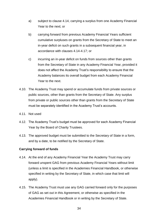- a) subject to clause 4.14, carrying a surplus from one Academy Financial Year to the next; or
- b) carrying forward from previous Academy Financial Years sufficient cumulative surpluses on grants from the Secretary of State to meet an in-year deficit on such grants in a subsequent financial year, in accordance with clauses 4.14-4.17; or
- c) incurring an in-year deficit on funds from sources other than grants from the Secretary of State in any Academy Financial Year, provided it does not affect the Academy Trust's responsibility to ensure that the Academy balances its overall budget from each Academy Financial Year to the next.
- 4.10. The Academy Trust may spend or accumulate funds from private sources or public sources, other than grants from the Secretary of State. Any surplus from private or public sources other than grants from the Secretary of State must be separately identified in the Academy Trust's accounts.
- 4.11. Not used
- 4.12. The Academy Trust's budget must be approved for each Academy Financial Year by the Board of Charity Trustees.
- 4.13. The approved budget must be submitted to the Secretary of State in a form, and by a date, to be notified by the Secretary of State.

#### <span id="page-33-0"></span>**Carrying forward of funds**

- 4.14. At the end of any Academy Financial Year the Academy Trust may carry forward unspent GAG from previous Academy Financial Years without limit (unless a limit is specified in the Academies Financial Handbook, or otherwise specified in writing by the Secretary of State, in which case that limit will apply).
- 4.15. The Academy Trust must use any GAG carried forward only for the purposes of GAG as set out in this Agreement, or otherwise as specified in the Academies Financial Handbook or in writing by the Secretary of State.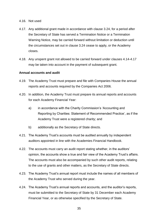#### 4.16. Not used

- 4.17. Any additional grant made in accordance with clause 3.24, for a period after the Secretary of State has served a Termination Notice or a Termination Warning Notice, may be carried forward without limitation or deduction until the circumstances set out in clause 3.24 cease to apply, or the Academy closes.
- 4.18. Any unspent grant not allowed to be carried forward under clauses 4.14-4.17 may be taken into account in the payment of subsequent grant.

#### <span id="page-34-0"></span>**Annual accounts and audit**

- 4.19. The Academy Trust must prepare and file with Companies House the annual reports and accounts required by the Companies Act 2006.
- 4.20. In addition, the Academy Trust must prepare its annual reports and accounts for each Academy Financial Year:
	- a) in accordance with the Charity Commission's 'Accounting and Reporting by Charities: Statement of Recommended Practice', as if the Academy Trust were a registered charity; and
	- b) additionally as the Secretary of State directs.
- 4.21. The Academy Trust's accounts must be audited annually by independent auditors appointed in line with the Academies Financial Handbook.
- 4.22. The accounts must carry an audit report stating whether, in the auditors' opinion, the accounts show a true and fair view of the Academy Trust's affairs. The accounts must also be accompanied by such other audit reports, relating to the use of grants and other matters, as the Secretary of State directs.
- 4.23. The Academy Trust's annual report must include the names of all members of the Academy Trust who served during the year.
- 4.24. The Academy Trust's annual reports and accounts, and the auditor's reports, must be submitted to the Secretary of State by 31 December each Academy Financial Year, or as otherwise specified by the Secretary of State.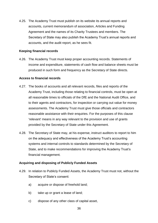4.25. The Academy Trust must publish on its website its annual reports and accounts, current memorandum of association, Articles and Funding Agreement and the names of its Charity Trustees and members. The Secretary of State may also publish the Academy Trust's annual reports and accounts, and the audit report, as he sees fit.

#### <span id="page-35-0"></span>**Keeping financial records**

4.26. The Academy Trust must keep proper accounting records. Statements of income and expenditure, statements of cash flow and balance sheets must be produced in such form and frequency as the Secretary of State directs.

#### <span id="page-35-1"></span>**Access to financial records**

- 4.27. The books of accounts and all relevant records, files and reports of the Academy Trust, including those relating to financial controls, must be open at all reasonable times to officials of the DfE and the National Audit Office, and to their agents and contractors, for inspection or carrying out value for money assessments. The Academy Trust must give those officials and contractors reasonable assistance with their enquiries. For the purposes of this clause 'relevant' means in any way relevant to the provision and use of grants provided by the Secretary of State under this Agreement.
- 4.28. The Secretary of State may, at his expense, instruct auditors to report to him on the adequacy and effectiveness of the Academy Trust's accounting systems and internal controls to standards determined by the Secretary of State, and to make recommendations for improving the Academy Trust's financial management.

#### <span id="page-35-2"></span>**Acquiring and disposing of Publicly Funded Assets**

- 4.29. In relation to Publicly Funded Assets, the Academy Trust must not, without the Secretary of State's consent:
	- a) acquire or dispose of freehold land;
	- b) take up or grant a lease of land;
	- c) dispose of any other class of capital asset,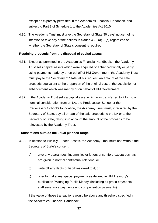except as expressly permitted in the Academies Financial Handbook, and subject to Part 3 of Schedule 1 to the Academies Act 2010.

4.30. The Academy Trust must give the Secretary of State 30 days' notice t of its intention to take any of the actions in clause  $4.29$  (a) – (c) regardless of whether the Secretary of State's consent is required.

#### <span id="page-36-0"></span>**Retaining proceeds from the disposal of capital assets**

- 4.31. Except as permitted in the Academies Financial Handbook, if the Academy Trust sells capital assets which were acquired or enhanced wholly or partly using payments made by or on behalf of HM Government, the Academy Trust must pay to the Secretary of State, at his request, an amount of the sale proceeds equivalent to the proportion of the original cost of the acquisition or enhancement which was met by or on behalf of HM Government.
- 4.32. If the Academy Trust sells a capital asset which was transferred to it for no or nominal consideration from an LA, the Predecessor School or the Predecessor School's foundation, the Academy Trust must, if required by the Secretary of State, pay all or part of the sale proceeds to the LA or to the Secretary of State, taking into account the amount of the proceeds to be reinvested by the Academy Trust.

#### <span id="page-36-1"></span>**Transactions outside the usual planned range**

- 4.33. In relation to Publicly Funded Assets, the Academy Trust must not, without the Secretary of State's consent:
	- a) give any quarantees, indemnities or letters of comfort, except such as are given in normal contractual relations; or
	- b) write off any debts or liabilities owed to it; or
	- c) offer to make any special payments as defined in HM Treasury's publication 'Managing Public Money' (including ex gratia payments, staff severance payments and compensation payments)

if the value of those transactions would be above any threshold specified in the Academies Financial Handbook.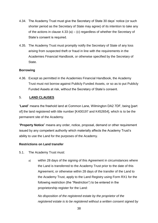- 4.34. The Academy Trust must give the Secretary of State 30 days' notice (or such shorter period as the Secretary of State may agree) of its intention to take any of the actions in clause 4.33 (a) – (c) regardless of whether the Secretary of State's consent is required.
- 4.35. The Academy Trust must promptly notify the Secretary of State of any loss arising from suspected theft or fraud in line with the requirements in the Academies Financial Handbook, or otherwise specified by the Secretary of State.

#### <span id="page-37-0"></span>**Borrowing**

4.36. Except as permitted in the Academies Financial Handbook, the Academy Trust must not borrow against Publicly Funded Assets, or so as to put Publicly Funded Assets at risk, without the Secretary of State's consent.

# <span id="page-37-1"></span>5. **LAND CLAUSES**

"**Land**" means the freehold land at Common Lane, Wilmington DA2 7DF, being [part of] the land registered with title number [K400197 and K452654], which is to be the permanent site of the Academy.

"**Property Notice**" means any order, notice, proposal, demand or other requirement issued by any competent authority which materially affects the Academy Trust's ability to use the Land for the purposes of the Academy.

#### **Restrictions on Land transfer**

5.1. The Academy Trust must:

a) within 28 days of the signing of this Agreement in circumstances where the Land is transferred to the Academy Trust prior to the date of this Agreement, or otherwise within 28 days of the transfer of the Land to the Academy Trust, apply to the Land Registry using Form RX1 for the following restriction (the "Restriction") to be entered in the proprietorship register for the Land:

*No disposition of the registered estate by the proprietor of the registered estate is to be registered without a written consent signed by*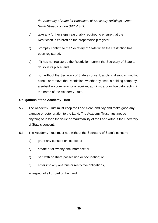*the Secretary of State for Education, of Sanctuary Buildings, Great Smith Street, London SW1P 3BT;*

- b) take any further steps reasonably required to ensure that the Restriction is entered on the proprietorship register;
- c) promptly confirm to the Secretary of State when the Restriction has been registered;
- d) if it has not registered the Restriction, permit the Secretary of State to do so in its place; and
- e) not, without the Secretary of State's consent, apply to disapply, modify, cancel or remove the Restriction, whether by itself, a holding company, a subsidiary company, or a receiver, administrator or liquidator acting in the name of the Academy Trust.

#### **Obligations of the Academy Trust**

- 5.2. The Academy Trust must keep the Land clean and tidy and make good any damage or deterioration to the Land. The Academy Trust must not do anything to lessen the value or marketability of the Land without the Secretary of State's consent.
- 5.3. The Academy Trust must not, without the Secretary of State's consent:
	- a) grant any consent or licence; or
	- b) create or allow any encumbrance; or
	- c) part with or share possession or occupation; or
	- d) enter into any onerous or restrictive obligations,

in respect of all or part of the Land.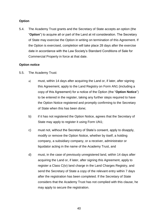# **Option**

5.4. The Academy Trust grants and the Secretary of State accepts an option (the "**Option**") to acquire all or part of the Land at nil consideration. The Secretary of State may exercise the Option in writing on termination of this Agreement. If the Option is exercised, completion will take place 28 days after the exercise date in accordance with the Law Society's Standard Conditions of Sale for Commercial Property in force at that date.

#### **Option notice**

- 5.5. The Academy Trust:
	- a) must, within 14 days after acquiring the Land or, if later, after signing this Agreement, apply to the Land Registry on Form AN1 (including a copy of this Agreement) for a notice of the Option (the "**Option Notice**") to be entered in the register, taking any further steps required to have the Option Notice registered and promptly confirming to the Secretary of State when this has been done;
	- b) if it has not registered the Option Notice, agrees that the Secretary of State may apply to register it using Form UN1;
	- c) must not, without the Secretary of State's consent, apply to disapply, modify or remove the Option Notice, whether by itself, a holding company, a subsidiary company, or a receiver, administrator or liquidator acting in the name of the Academy Trust, and
	- d) must, in the case of previously unregistered land, within 14 days after acquiring the Land or, if later, after signing this Agreement, apply to register a Class C(iv) land charge in the Land Charges Registry, and send the Secretary of State a copy of the relevant entry within 7 days after the registration has been completed. If the Secretary of State considers that the Academy Trust has not complied with this clause, he may apply to secure the registration.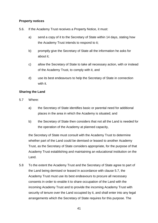#### **Property notices**

- 5.6. If the Academy Trust receives a Property Notice, it must:
	- a) send a copy of it to the Secretary of State within 14 days, stating how the Academy Trust intends to respond to it;
	- b) promptly give the Secretary of State all the information he asks for about it;
	- c) allow the Secretary of State to take all necessary action, with or instead of the Academy Trust, to comply with it, and
	- d) use its best endeavours to help the Secretary of State in connection with it.

# **Sharing the Land**

- 5.7 Where:
	- a) the Secretary of State identifies basic or parental need for additional places in the area in which the Academy is situated; and
	- b) the Secretary of State then considers that not all the Land is needed for the operation of the Academy at planned capacity,

the Secretary of State must consult with the Academy Trust to determine whether part of the Land could be demised or leased to another Academy Trust, as the Secretary of State considers appropriate, for the purpose of that Academy Trust establishing and maintaining an educational institution on the Land.

5.8 To the extent the Academy Trust and the Secretary of State agree to part of the Land being demised or leased in accordance with clause 5.7, the Academy Trust must use its best endeavours to procure all necessary consents in order to enable it to share occupation of the Land with the incoming Academy Trust and to provide the incoming Academy Trust with security of tenure over the Land occupied by it, and shall enter into any legal arrangements which the Secretary of State requires for this purpose. The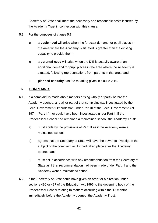Secretary of State shall meet the necessary and reasonable costs incurred by the Academy Trust in connection with this clause.

- 5.9 For the purposes of clause 5.7:
	- a) a **basic need** will arise when the forecast demand for pupil places in the area where the Academy is situated is greater than the existing capacity to provide them;
	- b) a **parental need** will arise when the DfE is actually aware of an additional demand for pupil places in the area where the Academy is situated, following representations from parents in that area; and
	- c) **planned capacity** has the meaning given in clause 2.10.

# <span id="page-41-0"></span>6. **COMPLAINTS**

- 6.1. If a complaint is made about matters arising wholly or partly before the Academy opened, and all or part of that complaint was investigated by the Local Government Ombudsman under Part III of the Local Government Act 1974 ("**Part III**"), or could have been investigated under Part III if the Predecessor School had remained a maintained school, the Academy Trust:
	- a) must abide by the provisions of Part III as if the Academy were a maintained school;
	- b) agrees that the Secretary of State will have the power to investigate the subject of the complaint as if it had taken place after the Academy opened; and
	- c) must act in accordance with any recommendation from the Secretary of State as if that recommendation had been made under Part III and the Academy were a maintained school.
- 6.2. If the Secretary of State could have given an order or a direction under sections 496 or 497 of the Education Act 1996 to the governing body of the Predecessor School relating to matters occurring within the 12 months immediately before the Academy opened, the Academy Trust: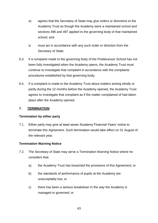- a) agrees that the Secretary of State may give orders or directions to the Academy Trust as though the Academy were a maintained school and sections 496 and 497 applied to the governing body of that maintained school; and
- b) must act in accordance with any such order or direction from the Secretary of State.
- 6.3. If a complaint made to the governing body of the Predecessor School has not been fully investigated when the Academy opens, the Academy Trust must continue to investigate that complaint in accordance with the complaints procedures established by that governing body.
- 6.4. If a complaint is made to the Academy Trust about matters arising wholly or partly during the 12 months before the Academy opened, the Academy Trust agrees to investigate that complaint as if the matter complained of had taken place after the Academy opened.

# <span id="page-42-0"></span>**7. TERMINATION**

#### <span id="page-42-1"></span>**Termination by either party**

7.1. Either party may give at least seven Academy Financial Years' notice to terminate this Agreement. Such termination would take effect on 31 August of the relevant year.

#### <span id="page-42-2"></span>**Termination Warning Notice**

- 7.2. The Secretary of State may serve a Termination Warning Notice where he considers that:
	- a) the Academy Trust has breached the provisions of this Agreement; or
	- b) the standards of performance of pupils at the Academy are unacceptably low; or
	- c) there has been a serious breakdown in the way the Academy is managed or governed; or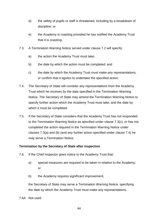- d) the safety of pupils or staff is threatened, including by a breakdown of discipline; or
- e) the Academy is coasting provided he has notified the Academy Trust that it is coasting.
- 7.3. A Termination Warning Notice served under clause 7.2 will specify:
	- a) the action the Academy Trust must take;
	- b) the date by which the action must be completed; and
	- c) the date by which the Academy Trust must make any representations, or confirm that it agrees to undertake the specified action.
- 7.4. The Secretary of State will consider any representations from the Academy Trust which he receives by the date specified in the Termination Warning Notice. The Secretary of State may amend the Termination Warning Notice to specify further action which the Academy Trust must take, and the date by which it must be completed.
- 7.5. If the Secretary of State considers that the Academy Trust has not responded to the Termination Warning Notice as specified under clause 7.3(c), or has not completed the action required in the Termination Warning Notice under clauses 7.3(a) and (b) (and any further action specified under clause 7.4) he may serve a Termination Notice.

#### <span id="page-43-0"></span>**Termination by the Secretary of State after inspection**

- 7.6. If the Chief Inspector gives notice to the Academy Trust that:
	- a) special measures are required to be taken in relation to the Academy; or
	- b) the Academy requires significant improvement,

the Secretary of State may serve a Termination Warning Notice, specifying the date by which the Academy Trust must make any representations.

7.6A Not used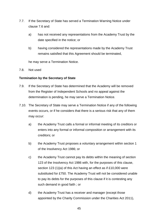- 7.7. If the Secretary of State has served a Termination Warning Notice under clause 7.6 and:
	- a) has not received any representations from the Academy Trust by the date specified in the notice; or
	- b) having considered the representations made by the Academy Trust remains satisfied that this Agreement should be terminated,

he may serve a Termination Notice.

<span id="page-44-0"></span>7.8. Not used

#### **Termination by the Secretary of State**

- 7.9. If the Secretary of State has determined that the Academy will be removed from the Register of Independent Schools and no appeal against the determination is pending, he may serve a Termination Notice.
- 7.10. The Secretary of State may serve a Termination Notice if any of the following events occurs, or if he considers that there is a serious risk that any of them may occur:
	- a) the Academy Trust calls a formal or informal meeting of its creditors or enters into any formal or informal composition or arrangement with its creditors; or
	- b) the Academy Trust proposes a voluntary arrangement within section 1 of the Insolvency Act 1986; or
	- c) the Academy Trust cannot pay its debts within the meaning of section 123 of the Insolvency Act 1986 with, for the purposes of this clause, section 123 (1)(a) of this Act having an effect as if £10,000 were substituted for £750. The Academy Trust will not be considered unable to pay its debts for the purposes of this clause if it is contesting any such demand in good faith ; or
	- d) the Academy Trust has a receiver and manager (except those appointed by the Charity Commission under the Charities Act 2011),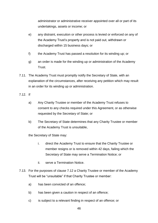administrator or administrative receiver appointed over all or part of its undertakings, assets or income; or

- e) any distraint, execution or other process is levied or enforced on any of the Academy Trust's property and is not paid out, withdrawn or discharged within 15 business days; or
- f) the Academy Trust has passed a resolution for its winding up; or
- g) an order is made for the winding up or administration of the Academy **Trust**
- 7.11. The Academy Trust must promptly notify the Secretary of State, with an explanation of the circumstances, after receiving any petition which may result in an order for its winding up or administration.
- 7.12. If
	- a) Any Charity Trustee or member of the Academy Trust refuses to consent to any checks required under this Agreement, or as otherwise requested by the Secretary of State; or
	- b) The Secretary of State determines that any Charity Trustee or member of the Academy Trust is unsuitable,

the Secretary of State may:

- i. direct the Academy Trust to ensure that the Charity Trustee or member resigns or is removed within 42 days, failing which the Secretary of State may serve a Termination Notice; or
- ii. serve a Termination Notice.
- 7.13. For the purposes of clause 7.12 a Charity Trustee or member of the Academy Trust will be "unsuitable" if that Charity Trustee or member:
	- a) has been convicted of an offence;
	- b) has been given a caution in respect of an offence;
	- c) is subject to a relevant finding in respect of an offence; or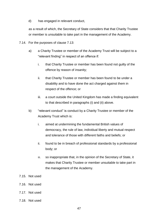d) has engaged in relevant conduct,

as a result of which, the Secretary of State considers that that Charity Trustee or member is unsuitable to take part in the management of the Academy.

- 7.14. For the purposes of clause 7.13:
	- a) a Charity Trustee or member of the Academy Trust will be subject to a "relevant finding" in respect of an offence if:
		- i. that Charity Trustee or member has been found not guilty of the offence by reason of insanity;
		- ii. that Charity Trustee or member has been found to be under a disability and to have done the act charged against them in respect of the offence; or
		- iii. a court outside the United Kingdom has made a finding equivalent to that described in paragraphs (i) and (ii) above.
	- b) "relevant conduct" is conduct by a Charity Trustee or member of the Academy Trust which is:
		- i. aimed at undermining the fundamental British values of democracy, the rule of law, individual liberty and mutual respect and tolerance of those with different faiths and beliefs; or
		- ii. found to be in breach of professional standards by a professional body; or
		- iii. so inappropriate that, in the opinion of the Secretary of State, it makes that Charity Trustee or member unsuitable to take part in the management of the Academy.
- 7.15. Not used
- 7.16. Not used
- 7.17. Not used
- 7.18. Not used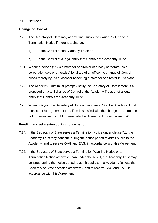#### <span id="page-47-0"></span>7.19. Not used

#### **Change of Control**

- 7.20. The Secretary of State may at any time, subject to clause 7.21, serve a Termination Notice if there is a change:
	- a) in the Control of the Academy Trust; or
	- b) in the Control of a legal entity that Controls the Academy Trust.
- 7.21. Where a person ('P') is a member or director of a body corporate (as a corporation sole or otherwise) by virtue of an office, no change of Control arises merely by P's successor becoming a member or director in P's place.
- 7.22. The Academy Trust must promptly notify the Secretary of State if there is a proposed or actual change of Control of the Academy Trust, or of a legal entity that Controls the Academy Trust.
- 7.23. When notifying the Secretary of State under clause 7.22, the Academy Trust must seek his agreement that, if he is satisfied with the change of Control, he will not exercise his right to terminate this Agreement under clause 7.20.

#### <span id="page-47-1"></span>**Funding and admission during notice period**

- 7.24. If the Secretary of State serves a Termination Notice under clause 7.1, the Academy Trust may continue during the notice period to admit pupils to the Academy, and to receive GAG and EAG, in accordance with this Agreement.
- 7.25. If the Secretary of State serves a Termination Warning Notice or a Termination Notice otherwise than under clause 7.1, the Academy Trust may continue during the notice period to admit pupils to the Academy (unless the Secretary of State specifies otherwise), and to receive GAG and EAG, in accordance with this Agreement.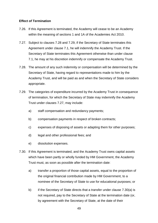#### <span id="page-48-0"></span>**Effect of Termination**

- 7.26. If this Agreement is terminated, the Academy will cease to be an Academy within the meaning of sections 1 and 1A of the Academies Act 2010.
- 7.27. Subject to clauses 7.28 and 7.29, if the Secretary of State terminates this Agreement under clause 7.1, he will indemnify the Academy Trust. If the Secretary of State terminates this Agreement otherwise than under clause 7.1, he may at his discretion indemnify or compensate the Academy Trust.
- 7.28. The amount of any such indemnity or compensation will be determined by the Secretary of State, having regard to representations made to him by the Academy Trust, and will be paid as and when the Secretary of State considers appropriate.
- 7.29. The categories of expenditure incurred by the Academy Trust in consequence of termination, for which the Secretary of State may indemnify the Academy Trust under clauses 7.27, may include:
	- a) staff compensation and redundancy payments;
	- b) compensation payments in respect of broken contracts;
	- c) expenses of disposing of assets or adapting them for other purposes;
	- d) legal and other professional fees; and
	- e) dissolution expenses.
- 7.30. If this Agreement is terminated, and the Academy Trust owns capital assets which have been partly or wholly funded by HM Government, the Academy Trust must, as soon as possible after the termination date:
	- a) transfer a proportion of those capital assets, equal to the proportion of the original financial contribution made by HM Government, to a nominee of the Secretary of State to use for educational purposes; or
	- b) if the Secretary of State directs that a transfer under clause 7.30(a) is not required, pay to the Secretary of State at the termination date (or, by agreement with the Secretary of State, at the date of their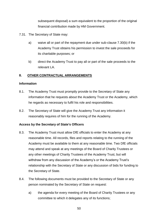subsequent disposal) a sum equivalent to the proportion of the original financial contribution made by HM Government.

- 7.31. The Secretary of State may:
	- a) waive all or part of the repayment due under sub-clause 7.30(b) if the Academy Trust obtains his permission to invest the sale proceeds for its charitable purposes; or
	- b) direct the Academy Trust to pay all or part of the sale proceeds to the relevant LA.

#### <span id="page-49-0"></span>**8. OTHER CONTRACTUAL ARRANGEMENTS**

#### <span id="page-49-1"></span>**Information**

- 8.1. The Academy Trust must promptly provide to the Secretary of State any information that he requests about the Academy Trust or the Academy, which he regards as necessary to fulfil his role and responsibilities.
- 8.2. The Secretary of State will give the Academy Trust any information it reasonably requires of him for the running of the Academy.

#### <span id="page-49-2"></span>**Access by the Secretary of State's Officers**

- 8.3. The Academy Trust must allow DfE officials to enter the Academy at any reasonable time. All records, files and reports relating to the running of the Academy must be available to them at any reasonable time. Two DfE officials may attend and speak at any meetings of the Board of Charity Trustees or any other meetings of Charity Trustees of the Academy Trust, but will withdraw from any discussion of the Academy's or the Academy Trust's relationship with the Secretary of State or any discussion of bids for funding to the Secretary of State.
- 8.4. The following documents must be provided to the Secretary of State or any person nominated by the Secretary of State on request:
	- a) the agenda for every meeting of the Board of Charity Trustees or any committee to which it delegates any of its functions;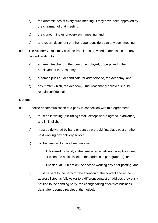- b) the draft minutes of every such meeting, if they have been approved by the chairman of that meeting;
- c) the signed minutes of every such meeting; and
- d) any report, document or other paper considered at any such meeting.
- 8.5. The Academy Trust may exclude from items provided under clause 8.4 any content relating to:
	- a) a named teacher or other person employed, or proposed to be employed, at the Academy;
	- b) a named pupil at, or candidate for admission to, the Academy; and
	- c) any matter which, the Academy Trust reasonably believes should remain confidential.

#### <span id="page-50-0"></span>**Notices**

- 8.6. A notice or communication to a party in connection with this Agreement:
	- a) must be in writing (excluding email, except where agreed in advance) and in English;
	- b) must be delivered by hand or sent by pre-paid first-class post or other next working day delivery service;
	- c) will be deemed to have been received:
		- i. if delivered by hand, at the time when a delivery receipt is signed or when the notice is left at the address in paragraph (d), or
		- ii. if posted, at 9.00 am on the second working day after posting; and
	- d) must be sent to the party for the attention of the contact and at the address listed as follows (or to a different contact or address previously notified to the sending party, the change taking effect five business days after deemed receipt of the notice):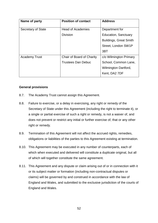| Name of party        | <b>Position of contact</b> | <b>Address</b>                |
|----------------------|----------------------------|-------------------------------|
| Secretary of State   | <b>Head of Academies</b>   | Department for                |
|                      | <b>Division</b>            | <b>Education, Sanctuary</b>   |
|                      |                            | <b>Buildings, Great Smith</b> |
|                      |                            | Street, London SW1P           |
|                      |                            | 3BT                           |
| <b>Academy Trust</b> | Chair of Board of Charity  | c/o Wilmington Primary        |
|                      | <b>Trustees Dan Debuc</b>  | School, Common Lane,          |
|                      |                            | <b>Wilmington Dartford,</b>   |
|                      |                            | Kent, DA2 7DF                 |

#### <span id="page-51-0"></span>**General provisions**

- 8.7. The Academy Trust cannot assign this Agreement.
- 8.8. Failure to exercise, or a delay in exercising, any right or remedy of the Secretary of State under this Agreement (including the right to terminate it), or a single or partial exercise of such a right or remedy, is not a waiver of, and does not prevent or restrict any initial or further exercise of, that or any other right or remedy.
- 8.9. Termination of this Agreement will not affect the accrued rights, remedies, obligations or liabilities of the parties to this Agreement existing at termination.
- 8.10. This Agreement may be executed in any number of counterparts, each of which when executed and delivered will constitute a duplicate original, but all of which will together constitute the same agreement.
- 8.11. This Agreement and any dispute or claim arising out of or in connection with it or its subject matter or formation (including non-contractual disputes or claims) will be governed by and construed in accordance with the law of England and Wales, and submitted to the exclusive jurisdiction of the courts of England and Wales.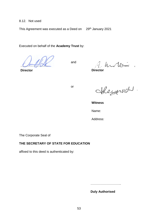8.12. Not used

This Agreement was executed as a Deed on 29th January 2021

Executed on behalf of the **Academy Trust** by:

**Director**

and

A. Un les

or

Meynoon

**Witness**

Name:

Address:

The Corporate Seal of

#### **THE SECRETARY OF STATE FOR EDUCATION**

affixed to this deed is authenticated by:

……………………………

**Duly Authorised**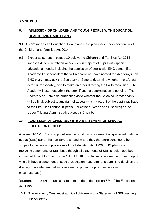# <span id="page-53-0"></span>**ANNEXES**

# <span id="page-53-1"></span>**9. ADMISSION OF CHILDREN AND YOUNG PEOPLE WITH EDUCATION, HEALTH AND CARE PLANS**

"**EHC plan**" means an Education, Health and Care plan made under section 37 of the Children and Families Act 2014.

9.1. Except as set out in clause 10 below, the Children and Families Act 2014 imposes duties directly on Academies in respect of pupils with special educational needs, including the admission of pupils with EHC plans. If an Academy Trust considers that a LA should not have named the Academy in an EHC plan, it may ask the Secretary of State to determine whether the LA has acted unreasonably, and to make an order directing the LA to reconsider. The Academy Trust must admit the pupil if such a determination is pending. The Secretary of State's determination as to whether the LA acted unreasonably will be final, subject to any right of appeal which a parent of the pupil may have to the First Tier Tribunal (Special Educational Needs and Disability) or the Upper Tribunal Administrative Appeals Chamber.

# <span id="page-53-2"></span>**10. ADMISSION OF CHILDREN WITH A STATEMENT OF SPECIAL EDUCATIONAL NEEDS**

(Clauses 10.1-10.7 only apply where the pupil has a statement of special educational needs (SEN) rather than an EHC plan and where they therefore continue to be subject to the relevant provisions of the Education Act 1996. EHC plans are replacing statements of SEN but although all statements of SEN should have been converted to an EHC plan by the 1 April 2018 this clause is retained to protect pupils who still have a statement of special education need after this date. The detail on the drafting of a statement below is retained to protect pupils in exceptional circumstances.)

"**Statement of SEN**" means a statement made under section 324 of the Education Act 1996.

10.1. The Academy Trust must admit all children with a Statement of SEN naming the Academy.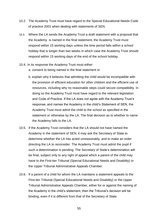- 10.2. The Academy Trust must have regard to the Special Educational Needs Code of practice 2001 when dealing with statements of SEN.
- 10.3. Where the LA sends the Academy Trust a draft statement with a proposal that the Academy is named in the final statement, the Academy Trust must respond within 15 working days unless the time period falls within a school holiday that is longer than two weeks in which case the Academy Trust should respond within 15 working days of the end of the school holiday.
- 10.4. In its response the Academy Trust must either:
	- a. consent to being named in the final statement or
	- b. explain why it believes that admitting the child would be incompatible with the provision of efficient education for other children and the efficient use of resources, including why no reasonable steps could secure compatibility. In doing so the Academy Trust must have regard to the relevant legislation and Code of Practice. If the LA does not agree with the Academy Trust's response, and names the Academy in the child's Statement of SEN, the Academy Trust must admit the child to the school as specified in the statement or otherwise by the LA. The final decision as to whether to name the Academy falls to the LA.
- 10.5. If the Academy Trust considers that the LA should not have named the Academy in the statement of SEN, it may ask the Secretary of State to determine whether the LA has acted unreasonably, and to make an order directing the LA to reconsider. The Academy Trust must admit the pupil if such a determination is pending. The Secretary of State's determination will be final, subject only to any right of appeal which a parent of the child may have to the First-tier Tribunal (Special Educational Needs and Disability) or the Upper Tribunal Administrative Appeals Chamber.
- 10.6. If a parent of a child for whom the LA maintains a statement appeals to the First-tier Tribunal (Special Educational Needs and Disability) or the Upper Tribunal Administrative Appeals Chamber, either for or against the naming of the Academy in the child's statement, then the Tribunal's decision will be binding, even if it is different from that of the Secretary of State.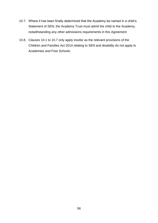- 10.7. Where it has been finally determined that the Academy be named in a child's Statement of SEN, the Academy Trust must admit the child to the Academy, notwithstanding any other admissions requirements in this Agreement
- 10.8. Clauses 10.1 to 10.7 only apply insofar as the relevant provisions of the Children and Families Act 2014 relating to SEN and disability do not apply to Academies and Free Schools.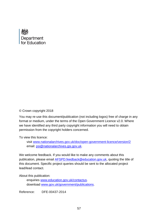

#### © Crown copyright 2018

You may re-use this document/publication (not including logos) free of charge in any format or medium, under the terms of the Open Government Licence v2.0. Where we have identified any third party copyright information you will need to obtain permission from the copyright holders concerned.

To view this licence:

visit [www.nationalarchives.gov.uk/doc/open-government-licence/version/2](http://www.nationalarchives.gov.uk/doc/open-government-licence/version/2) email: [psi@nationalarchives.gsi.gov.uk.](mailto:psi@nationalarchives.gsi.gov.uk)

We welcome feedback. If you would like to make any comments about this publication, please email [AFSPD.feedback@education.gov.uk,](mailto:AFSPD.feedback@education.gov.uk) quoting the title of this document. Specific project queries should be sent to the allocated project lead/lead contact.

About this publication:

enquiries [www.education.gov.uk/contactus.](http://www.education.gov.uk/contactus) download [www.gov.uk/government/publications.](http://www.gov.uk/government/publications)

Reference: DFE-00437-2014